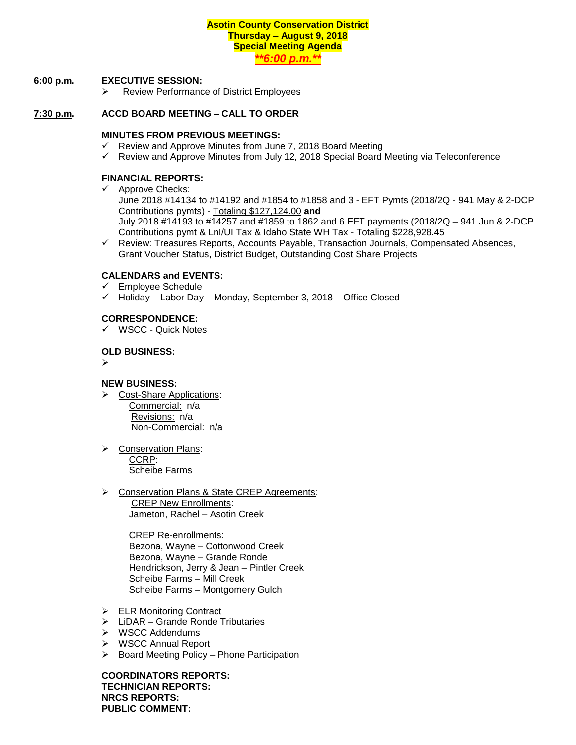# **Asotin County Conservation District Thursday – August 9, 2018 Special Meeting Agenda**

*\*\*6:00 p.m.\*\**

### **6:00 p.m. EXECUTIVE SESSION:**

➢ Review Performance of District Employees

## **7:30 p.m. ACCD BOARD MEETING – CALL TO ORDER**

### **MINUTES FROM PREVIOUS MEETINGS:**

- $\checkmark$  Review and Approve Minutes from June 7, 2018 Board Meeting
- $\checkmark$  Review and Approve Minutes from July 12, 2018 Special Board Meeting via Teleconference

### **FINANCIAL REPORTS:**

✓ Approve Checks:

June 2018 #14134 to #14192 and #1854 to #1858 and 3 - EFT Pymts (2018/2Q - 941 May & 2-DCP Contributions pymts) - Totaling \$127,124.00 **and**  July 2018 #14193 to #14257 and #1859 to 1862 and 6 EFT payments (2018/2Q – 941 Jun & 2-DCP Contributions pymt & LnI/UI Tax & Idaho State WH Tax - Totaling \$228,928.45

✓ Review: Treasures Reports, Accounts Payable, Transaction Journals, Compensated Absences, Grant Voucher Status, District Budget, Outstanding Cost Share Projects

## **CALENDARS and EVENTS:**

- ✓ Employee Schedule
- ✓ Holiday Labor Day Monday, September 3, 2018 Office Closed

## **CORRESPONDENCE:**

✓ WSCC - Quick Notes

#### **OLD BUSINESS:**

➢

### **NEW BUSINESS:**

- ➢ Cost-Share Applications: Commercial: n/a Revisions: n/a Non-Commercial: n/a
- ➢ Conservation Plans: CCRP: Scheibe Farms
- ➢ Conservation Plans & State CREP Agreements: CREP New Enrollments: Jameton, Rachel – Asotin Creek

 CREP Re-enrollments: Bezona, Wayne – Cottonwood Creek Bezona, Wayne – Grande Ronde Hendrickson, Jerry & Jean – Pintler Creek Scheibe Farms – Mill Creek Scheibe Farms – Montgomery Gulch

- ➢ ELR Monitoring Contract
- $\triangleright$  LiDAR Grande Ronde Tributaries
- ➢ WSCC Addendums
- ➢ WSCC Annual Report
- ➢ Board Meeting Policy Phone Participation

**COORDINATORS REPORTS: TECHNICIAN REPORTS: NRCS REPORTS: PUBLIC COMMENT:**